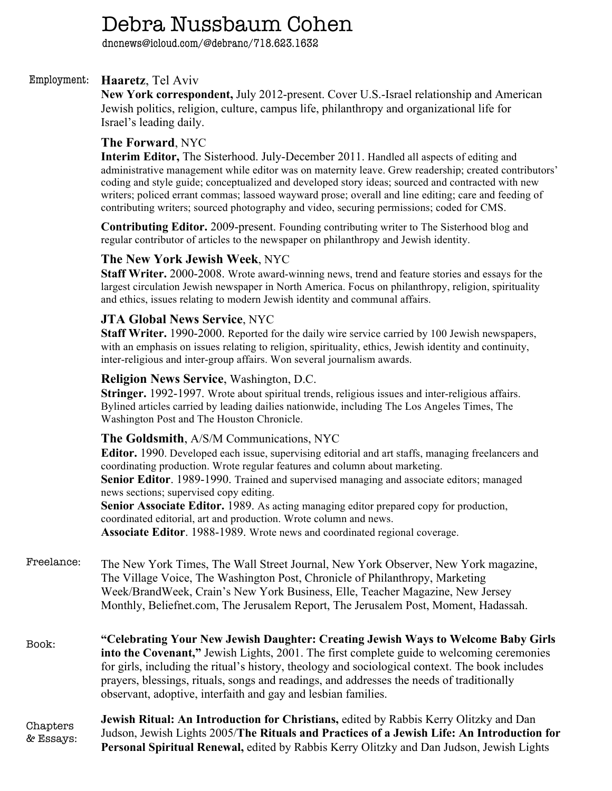# Debra Nussbaum Cohen

dncnews@icloud.com/@debranc/718.623.1632

#### **Haaretz**, Tel Aviv Employment:

**New York correspondent,** July 2012-present. Cover U.S.-Israel relationship and American Jewish politics, religion, culture, campus life, philanthropy and organizational life for Israel's leading daily.

## **The Forward**, NYC

**Interim Editor,** The Sisterhood. July-December 2011. Handled all aspects of editing and administrative management while editor was on maternity leave. Grew readership; created contributors' coding and style guide; conceptualized and developed story ideas; sourced and contracted with new writers; policed errant commas; lassoed wayward prose; overall and line editing; care and feeding of contributing writers; sourced photography and video, securing permissions; coded for CMS.

**Contributing Editor.** 2009-present. Founding contributing writer to The Sisterhood blog and regular contributor of articles to the newspaper on philanthropy and Jewish identity.

# **The New York Jewish Week**, NYC

**Staff Writer.** 2000-2008. Wrote award-winning news, trend and feature stories and essays for the largest circulation Jewish newspaper in North America. Focus on philanthropy, religion, spirituality and ethics, issues relating to modern Jewish identity and communal affairs.

### **JTA Global News Service**, NYC

**Staff Writer.** 1990-2000. Reported for the daily wire service carried by 100 Jewish newspapers, with an emphasis on issues relating to religion, spirituality, ethics, Jewish identity and continuity, inter-religious and inter-group affairs. Won several journalism awards.

#### **Religion News Service**, Washington, D.C.

**Stringer.** 1992-1997. Wrote about spiritual trends, religious issues and inter-religious affairs. Bylined articles carried by leading dailies nationwide, including The Los Angeles Times, The Washington Post and The Houston Chronicle.

### **The Goldsmith**, A/S/M Communications, NYC

**Editor.** 1990. Developed each issue, supervising editorial and art staffs, managing freelancers and coordinating production. Wrote regular features and column about marketing. **Senior Editor**. 1989-1990. Trained and supervised managing and associate editors; managed news sections; supervised copy editing. **Senior Associate Editor.** 1989. As acting managing editor prepared copy for production,

coordinated editorial, art and production. Wrote column and news. **Associate Editor**. 1988-1989. Wrote news and coordinated regional coverage.

The New York Times, The Wall Street Journal, New York Observer, New York magazine, The Village Voice, The Washington Post, Chronicle of Philanthropy, Marketing Week/BrandWeek, Crain's New York Business, Elle, Teacher Magazine, New Jersey Monthly, Beliefnet.com, The Jerusalem Report, The Jerusalem Post, Moment, Hadassah. Freelance:

**"Celebrating Your New Jewish Daughter: Creating Jewish Ways to Welcome Baby Girls into the Covenant,"** Jewish Lights, 2001. The first complete guide to welcoming ceremonies for girls, including the ritual's history, theology and sociological context. The book includes prayers, blessings, rituals, songs and readings, and addresses the needs of traditionally observant, adoptive, interfaith and gay and lesbian families. Book:

**Jewish Ritual: An Introduction for Christians,** edited by Rabbis Kerry Olitzky and Dan Judson, Jewish Lights 2005/**The Rituals and Practices of a Jewish Life: An Introduction for Personal Spiritual Renewal,** edited by Rabbis Kerry Olitzky and Dan Judson, Jewish Lights Chapters & Essays: